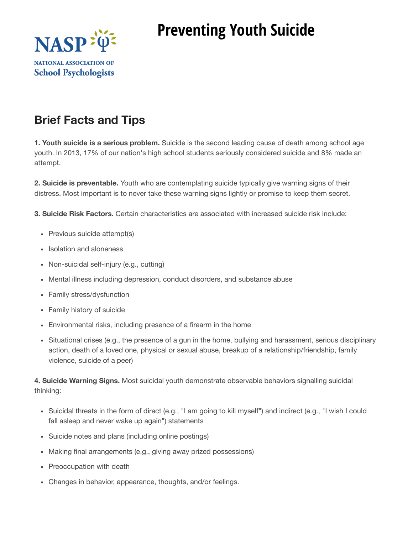

## **Preventing Youth Suicide**

## **Brief Facts and Tips**

**1. Youth suicide is a serious problem.** Suicide is the second leading cause of death among school age youth. In 2013, 17% of our nation's high school students seriously considered suicide and 8% made an attempt.

**2. Suicide is preventable.** Youth who are contemplating suicide typically give warning signs of their distress. Most important is to never take these warning signs lightly or promise to keep them secret.

**3. Suicide Risk Factors.** Certain characteristics are associated with increased suicide risk include:

- Previous suicide attempt(s)
- Isolation and aloneness
- Non-suicidal self-injury (e.g., cutting)
- Mental illness including depression, conduct disorders, and substance abuse
- Family stress/dysfunction
- Family history of suicide
- Environmental risks, including presence of a firearm in the home
- Situational crises (e.g., the presence of a gun in the home, bullying and harassment, serious disciplinary action, death of a loved one, physical or sexual abuse, breakup of a relationship/friendship, family violence, suicide of a peer)

**4. Suicide Warning Signs.** Most suicidal youth demonstrate observable behaviors signalling suicidal thinking:

- Suicidal threats in the form of direct (e.g., "I am going to kill myself") and indirect (e.g., "I wish I could fall asleep and never wake up again") statements
- Suicide notes and plans (including online postings)
- Making final arrangements (e.g., giving away prized possessions)
- Preoccupation with death
- Changes in behavior, appearance, thoughts, and/or feelings.